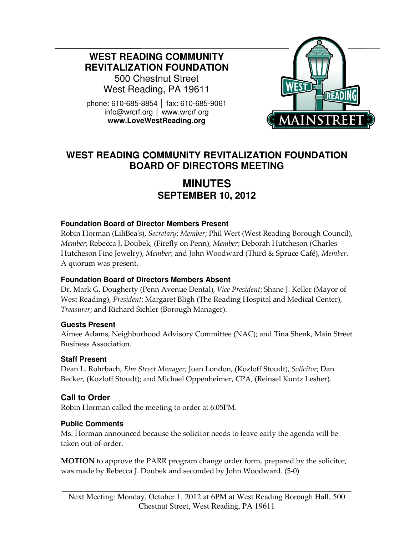**WEST READING COMMUNITY REVITALIZATION FOUNDATION** 

500 Chestnut Street West Reading, PA 19611

phone: 610-685-8854 │ fax: 610-685-9061 info@wrcrf.org │ www.wrcrf.org **www.LoveWestReading.org** 



## **WEST READING COMMUNITY REVITALIZATION FOUNDATION BOARD OF DIRECTORS MEETING**

# **MINUTES SEPTEMBER 10, 2012**

#### **Foundation Board of Director Members Present**

Robin Horman (LiliBea's), Secretary; Member; Phil Wert (West Reading Borough Council), Member; Rebecca J. Doubek, (Firefly on Penn), Member; Deborah Hutcheson (Charles Hutcheson Fine Jewelry), Member; and John Woodward (Third & Spruce Café), Member. A quorum was present.

#### **Foundation Board of Directors Members Absent**

Dr. Mark G. Dougherty (Penn Avenue Dental), Vice President; Shane J. Keller (Mayor of West Reading), President; Margaret Bligh (The Reading Hospital and Medical Center), Treasurer; and Richard Sichler (Borough Manager).

#### **Guests Present**

Aimee Adams, Neighborhood Advisory Committee (NAC); and Tina Shenk, Main Street Business Association.

#### **Staff Present**

Dean L. Rohrbach, Elm Street Manager; Joan London, (Kozloff Stoudt), Solicitor; Dan Becker, (Kozloff Stoudt); and Michael Oppenheimer, CPA, (Reinsel Kuntz Lesher).

## **Call to Order**

Robin Horman called the meeting to order at 6:05PM.

#### **Public Comments**

Ms. Horman announced because the solicitor needs to leave early the agenda will be taken out-of-order.

MOTION to approve the PARR program change order form, prepared by the solicitor, was made by Rebecca J. Doubek and seconded by John Woodward. (5-0)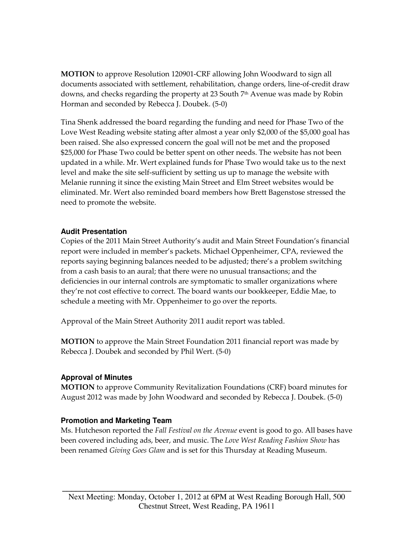MOTION to approve Resolution 120901-CRF allowing John Woodward to sign all documents associated with settlement, rehabilitation, change orders, line-of-credit draw downs, and checks regarding the property at 23 South 7<sup>th</sup> Avenue was made by Robin Horman and seconded by Rebecca J. Doubek. (5-0)

Tina Shenk addressed the board regarding the funding and need for Phase Two of the Love West Reading website stating after almost a year only \$2,000 of the \$5,000 goal has been raised. She also expressed concern the goal will not be met and the proposed \$25,000 for Phase Two could be better spent on other needs. The website has not been updated in a while. Mr. Wert explained funds for Phase Two would take us to the next level and make the site self-sufficient by setting us up to manage the website with Melanie running it since the existing Main Street and Elm Street websites would be eliminated. Mr. Wert also reminded board members how Brett Bagenstose stressed the need to promote the website.

#### **Audit Presentation**

Copies of the 2011 Main Street Authority's audit and Main Street Foundation's financial report were included in member's packets. Michael Oppenheimer, CPA, reviewed the reports saying beginning balances needed to be adjusted; there's a problem switching from a cash basis to an aural; that there were no unusual transactions; and the deficiencies in our internal controls are symptomatic to smaller organizations where they're not cost effective to correct. The board wants our bookkeeper, Eddie Mae, to schedule a meeting with Mr. Oppenheimer to go over the reports.

Approval of the Main Street Authority 2011 audit report was tabled.

MOTION to approve the Main Street Foundation 2011 financial report was made by Rebecca J. Doubek and seconded by Phil Wert. (5-0)

#### **Approval of Minutes**

MOTION to approve Community Revitalization Foundations (CRF) board minutes for August 2012 was made by John Woodward and seconded by Rebecca J. Doubek. (5-0)

#### **Promotion and Marketing Team**

Ms. Hutcheson reported the *Fall Festival on the Avenue* event is good to go. All bases have been covered including ads, beer, and music. The Love West Reading Fashion Show has been renamed *Giving Goes Glam* and is set for this Thursday at Reading Museum.

**\_\_\_\_\_\_\_\_\_\_\_\_\_\_\_\_\_\_\_\_\_\_\_\_\_\_\_\_\_\_\_\_\_\_\_\_\_\_\_\_\_\_\_\_\_\_\_\_\_\_\_\_\_\_\_\_\_\_\_\_\_\_\_\_**